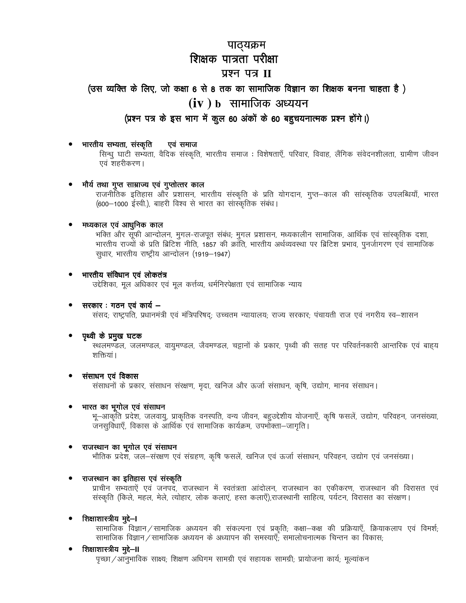# पाठ्यक्रम शिक्षक पात्रता परीक्षा प्रश्न पत्र II

# (उस व्यक्ति के लिए, जो कक्षा 6 से 8 तक का सामाजिक विज्ञान का शिक्षक बनना चाहता है)  $(iv)$   $b$  सामाजिक अध्ययन

# (प्रश्न पत्र के इस भाग में कुल 60 अंकों के 60 बहुचयनात्मक प्रश्न होंगे।)

#### भारतीय सभ्यता, संस्कृति एवं समाज

सिन्धु घाटी सभ्यता, वैदिक संस्कृति, भारतीय समाज : विशेषताएँ, परिवार, विवाह, लैंगिक संवेदनशीलता, ग्रामीण जीवन एवं शहरीकरण।

#### मौर्य तथा गुप्त साम्राज्य एवं गुप्तोत्तर काल

राजनीतिक इतिहास और प्रशासन, भारतीय संस्कृति के प्रति योगदान, गुप्त–काल की सांस्कृतिक उपलब्धियाँ, भारत (600–1000 ईस्वी.), बाहरी विश्व से भारत का सांस्कृतिक संबंध।

#### मध्यकाल एवं आधुनिक काल

भक्ति और सूफी आन्दोलन, मुगल-राजपूत संबंध, मुगल प्रशासन, मध्यकालीन सामाजिक, आर्थिक एवं सांस्कृतिक दशा, भारतीय राज्यों के प्रति ब्रिटिश नीति, 1857 की क्रांति, भारतीय अर्थव्यवस्था पर ब्रिटिश प्रभाव, पुनर्जागरण एवं सामाजिक सुधार, भारतीय राष्ट्रीय आन्दोलन (1919-1947)

#### भारतीय संविधान एवं लोकतंत्र

उद्देशिका, मूल अधिकार एवं मूल कर्त्तव्य, धर्मनिरपेक्षता एवं सामाजिक न्याय

#### सरकार : गठन एवं कार्य –

संसदः राष्ट्रपति, प्रधानमंत्री एवं मंत्रिपरिषदः उच्चतम न्यायालयः राज्य सरकारः पंचायती राज एवं नगरीय स्व–शासन

#### पृथ्वी के प्रमुख घटक

स्थलमण्डल, जलमण्डल, वायुमण्डल, जैवमण्डल, चट्टानों के प्रकार, पृथ्वी की सतह पर परिवर्तनकारी आन्तरिक एवं बाह्य शक्तियां।

#### संसाधन एवं विकास

संसाधनों के प्रकार, संसाधन संरक्षण, मृदा, खनिज और ऊर्जा संसाधन, कृषि, उद्योग, मानव संसाधन।

#### भारत का भूगोल एवं संसाधन

भू–आकृति प्रदेश, जलवायु, प्राकृतिक वनस्पति, वन्य जीवन, बहुउद्देशीय योजनाएँ, कृषि फसलें, उद्योग, परिवहन, जनसंख्या, जनसुविधाएँ, विकास के आर्थिक एवं सामाजिक कार्यक्रम, उपभोक्ता-जागृति।

#### राजस्थान का भूगोल एवं संसाधन

भौतिक प्रदेश, जल–संरक्षण एवं संग्रहण, कृषि फसलें, खनिज एवं ऊर्जा संसाधन, परिवहन, उद्योग एवं जनसंख्या।

#### राजस्थान का इतिहास एवं संस्कृति

प्राचीन सभ्यताऐं एवं जनपद, राजस्थान में स्वतंत्रता आंदोलन, राजस्थान का एकीकरण, राजस्थान की विरासत एवं संस्कृति (किले, महल, मेले, त्योहार, लोक कलाएं, हस्त कलाएँ),राजस्थानी साहित्य, पर्यटन, विरासत का संरक्षण।

#### शिक्षाशास्त्रीय मुद्दे–।

सामाजिक विज्ञान / सामाजिक अध्ययन की संकल्पना एवं प्रकृति; कक्षा–कक्ष की प्रक्रियाएँ, क्रियाकलाप एवं विमर्श; सामाजिक विज्ञान / सामाजिक अध्ययन के अध्यापन की समस्याएँ; समालोचनात्मक चिन्तन का विकास;

## शिक्षाशास्त्रीय मुद्दे—II

पृच्छा /आनुभाविक साक्ष्य; शिक्षण अधिगम सामग्री एवं सहायक सामग्री; प्रायोजना कार्य; मूल्यांकन